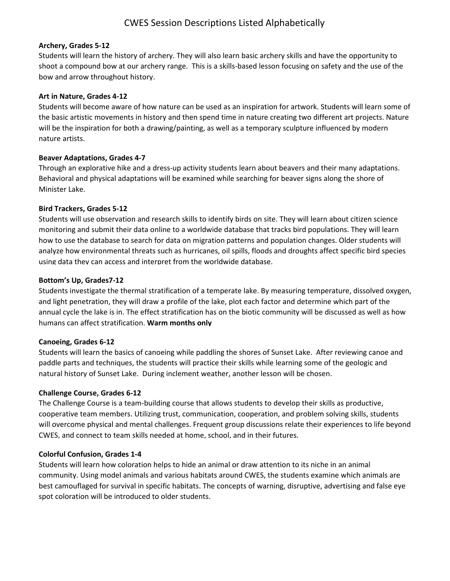## **Archery, Grades 5-12**

Students will learn the history of archery. They will also learn basic archery skills and have the opportunity to shoot a compound bow at our archery range. This is a skills-based lesson focusing on safety and the use of the bow and arrow throughout history.

## **Art in Nature, Grades 4-12**

Students will become aware of how nature can be used as an inspiration for artwork. Students will learn some of the basic artistic movements in history and then spend time in nature creating two different art projects. Nature will be the inspiration for both a drawing/painting, as well as a temporary sculpture influenced by modern nature artists.

## **Beaver Adaptations, Grades 4-7**

Through an explorative hike and a dress-up activity students learn about beavers and their many adaptations. Behavioral and physical adaptations will be examined while searching for beaver signs along the shore of Minister Lake.

## **Bird Trackers, Grades 5-12**

Students will use observation and research skills to identify birds on site. They will learn about citizen science monitoring and submit their data online to a worldwide database that tracks bird populations. They will learn how to use the database to search for data on migration patterns and population changes. Older students will analyze how environmental threats such as hurricanes, oil spills, floods and droughts affect specific bird species using data they can access and interpret from the worldwide database.

## **Bottom's Up, Grades7-12**

Students investigate the thermal stratification of a temperate lake. By measuring temperature, dissolved oxygen, and light penetration, they will draw a profile of the lake, plot each factor and determine which part of the annual cycle the lake is in. The effect stratification has on the biotic community will be discussed as well as how humans can affect stratification. **Warm months only**

#### **Canoeing, Grades 6-12**

Students will learn the basics of canoeing while paddling the shores of Sunset Lake. After reviewing canoe and paddle parts and techniques, the students will practice their skills while learning some of the geologic and natural history of Sunset Lake. During inclement weather, another lesson will be chosen.

#### **Challenge Course, Grades 6-12**

The Challenge Course is a team-building course that allows students to develop their skills as productive, cooperative team members. Utilizing trust, communication, cooperation, and problem solving skills, students will overcome physical and mental challenges. Frequent group discussions relate their experiences to life beyond CWES, and connect to team skills needed at home, school, and in their futures.

# **Colorful Confusion, Grades 1-4**

Students will learn how coloration helps to hide an animal or draw attention to its niche in an animal community. Using model animals and various habitats around CWES, the students examine which animals are best camouflaged for survival in specific habitats. The concepts of warning, disruptive, advertising and false eye spot coloration will be introduced to older students.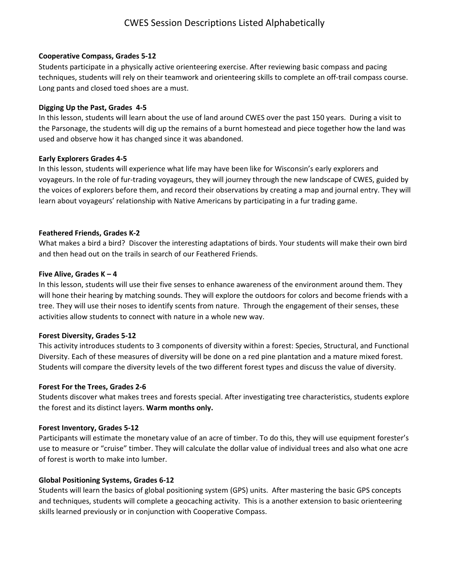## **Cooperative Compass, Grades 5-12**

Students participate in a physically active orienteering exercise. After reviewing basic compass and pacing techniques, students will rely on their teamwork and orienteering skills to complete an off-trail compass course. Long pants and closed toed shoes are a must.

## **Digging Up the Past, Grades 4-5**

In this lesson, students will learn about the use of land around CWES over the past 150 years. During a visit to the Parsonage, the students will dig up the remains of a burnt homestead and piece together how the land was used and observe how it has changed since it was abandoned.

## **Early Explorers Grades 4-5**

In this lesson, students will experience what life may have been like for Wisconsin's early explorers and voyageurs. In the role of fur-trading voyageurs, they will journey through the new landscape of CWES, guided by the voices of explorers before them, and record their observations by creating a map and journal entry. They will learn about voyageurs' relationship with Native Americans by participating in a fur trading game.

## **Feathered Friends, Grades K-2**

What makes a bird a bird? Discover the interesting adaptations of birds. Your students will make their own bird and then head out on the trails in search of our Feathered Friends.

## **Five Alive, Grades K – 4**

In this lesson, students will use their five senses to enhance awareness of the environment around them. They will hone their hearing by matching sounds. They will explore the outdoors for colors and become friends with a tree. They will use their noses to identify scents from nature. Through the engagement of their senses, these activities allow students to connect with nature in a whole new way.

#### **Forest Diversity, Grades 5-12**

This activity introduces students to 3 components of diversity within a forest: Species, Structural, and Functional Diversity. Each of these measures of diversity will be done on a red pine plantation and a mature mixed forest. Students will compare the diversity levels of the two different forest types and discuss the value of diversity.

# **Forest For the Trees, Grades 2-6**

Students discover what makes trees and forests special. After investigating tree characteristics, students explore the forest and its distinct layers. **Warm months only.**

#### **Forest Inventory, Grades 5-12**

Participants will estimate the monetary value of an acre of timber. To do this, they will use equipment forester's use to measure or "cruise" timber. They will calculate the dollar value of individual trees and also what one acre of forest is worth to make into lumber.

# **Global Positioning Systems, Grades 6-12**

Students will learn the basics of global positioning system (GPS) units. After mastering the basic GPS concepts and techniques, students will complete a geocaching activity. This is a another extension to basic orienteering skills learned previously or in conjunction with Cooperative Compass.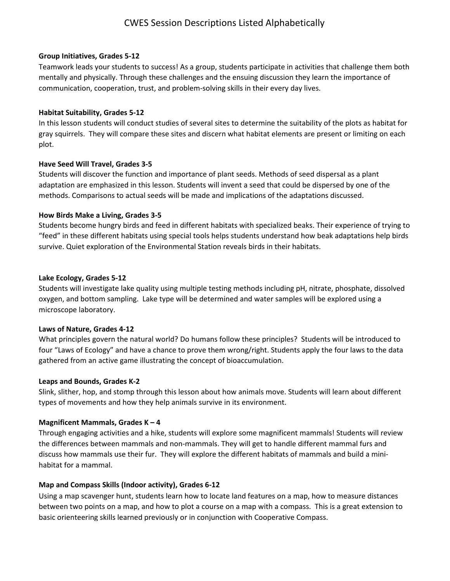## **Group Initiatives, Grades 5-12**

Teamwork leads your students to success! As a group, students participate in activities that challenge them both mentally and physically. Through these challenges and the ensuing discussion they learn the importance of communication, cooperation, trust, and problem-solving skills in their every day lives.

## **Habitat Suitability, Grades 5-12**

In this lesson students will conduct studies of several sites to determine the suitability of the plots as habitat for gray squirrels. They will compare these sites and discern what habitat elements are present or limiting on each plot.

# **Have Seed Will Travel, Grades 3-5**

Students will discover the function and importance of plant seeds. Methods of seed dispersal as a plant adaptation are emphasized in this lesson. Students will invent a seed that could be dispersed by one of the methods. Comparisons to actual seeds will be made and implications of the adaptations discussed.

# **How Birds Make a Living, Grades 3-5**

Students become hungry birds and feed in different habitats with specialized beaks. Their experience of trying to "feed" in these different habitats using special tools helps students understand how beak adaptations help birds survive. Quiet exploration of the Environmental Station reveals birds in their habitats.

## **Lake Ecology, Grades 5-12**

Students will investigate lake quality using multiple testing methods including pH, nitrate, phosphate, dissolved oxygen, and bottom sampling. Lake type will be determined and water samples will be explored using a microscope laboratory.

#### **Laws of Nature, Grades 4-12**

What principles govern the natural world? Do humans follow these principles? Students will be introduced to four "Laws of Ecology" and have a chance to prove them wrong/right. Students apply the four laws to the data gathered from an active game illustrating the concept of bioaccumulation.

#### **Leaps and Bounds, Grades K-2**

Slink, slither, hop, and stomp through this lesson about how animals move. Students will learn about different types of movements and how they help animals survive in its environment.

# **Magnificent Mammals, Grades K – 4**

Through engaging activities and a hike, students will explore some magnificent mammals! Students will review the differences between mammals and non-mammals. They will get to handle different mammal furs and discuss how mammals use their fur. They will explore the different habitats of mammals and build a minihabitat for a mammal.

# **Map and Compass Skills (Indoor activity), Grades 6-12**

Using a map scavenger hunt, students learn how to locate land features on a map, how to measure distances between two points on a map, and how to plot a course on a map with a compass. This is a great extension to basic orienteering skills learned previously or in conjunction with Cooperative Compass.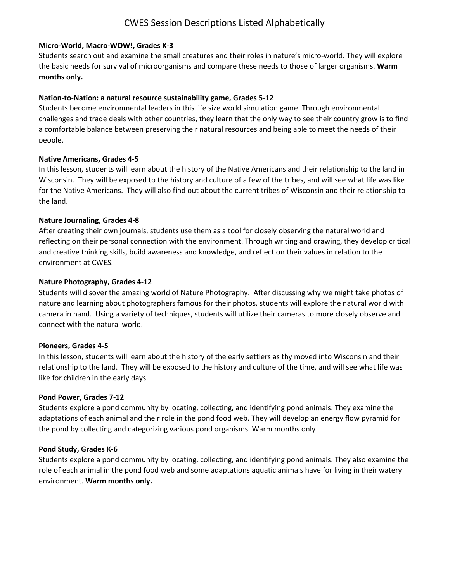# **Micro-World, Macro-WOW!, Grades K-3**

Students search out and examine the small creatures and their roles in nature's micro-world. They will explore the basic needs for survival of microorganisms and compare these needs to those of larger organisms. **Warm months only.**

# **Nation-to-Nation: a natural resource sustainability game, Grades 5-12**

Students become environmental leaders in this life size world simulation game. Through environmental challenges and trade deals with other countries, they learn that the only way to see their country grow is to find a comfortable balance between preserving their natural resources and being able to meet the needs of their people.

# **Native Americans, Grades 4-5**

In this lesson, students will learn about the history of the Native Americans and their relationship to the land in Wisconsin. They will be exposed to the history and culture of a few of the tribes, and will see what life was like for the Native Americans. They will also find out about the current tribes of Wisconsin and their relationship to the land.

# **Nature Journaling, Grades 4-8**

After creating their own journals, students use them as a tool for closely observing the natural world and reflecting on their personal connection with the environment. Through writing and drawing, they develop critical and creative thinking skills, build awareness and knowledge, and reflect on their values in relation to the environment at CWES.

# **Nature Photography, Grades 4-12**

Students will disover the amazing world of Nature Photography. After discussing why we might take photos of nature and learning about photographers famous for their photos, students will explore the natural world with camera in hand. Using a variety of techniques, students will utilize their cameras to more closely observe and connect with the natural world.

# **Pioneers, Grades 4-5**

In this lesson, students will learn about the history of the early settlers as thy moved into Wisconsin and their relationship to the land. They will be exposed to the history and culture of the time, and will see what life was like for children in the early days.

# **Pond Power, Grades 7-12**

Students explore a pond community by locating, collecting, and identifying pond animals. They examine the adaptations of each animal and their role in the pond food web. They will develop an energy flow pyramid for the pond by collecting and categorizing various pond organisms. Warm months only

# **Pond Study, Grades K-6**

Students explore a pond community by locating, collecting, and identifying pond animals. They also examine the role of each animal in the pond food web and some adaptations aquatic animals have for living in their watery environment. **Warm months only.**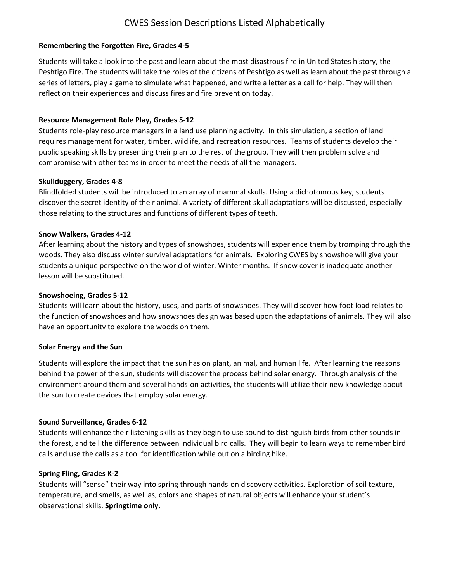# **Remembering the Forgotten Fire, Grades 4-5**

Students will take a look into the past and learn about the most disastrous fire in United States history, the Peshtigo Fire. The students will take the roles of the citizens of Peshtigo as well as learn about the past through a series of letters, play a game to simulate what happened, and write a letter as a call for help. They will then reflect on their experiences and discuss fires and fire prevention today.

## **Resource Management Role Play, Grades 5-12**

Students role-play resource managers in a land use planning activity. In this simulation, a section of land requires management for water, timber, wildlife, and recreation resources. Teams of students develop their public speaking skills by presenting their plan to the rest of the group. They will then problem solve and compromise with other teams in order to meet the needs of all the managers.

## **Skullduggery, Grades 4-8**

Blindfolded students will be introduced to an array of mammal skulls. Using a dichotomous key, students discover the secret identity of their animal. A variety of different skull adaptations will be discussed, especially those relating to the structures and functions of different types of teeth.

#### **Snow Walkers, Grades 4-12**

After learning about the history and types of snowshoes, students will experience them by tromping through the woods. They also discuss winter survival adaptations for animals. Exploring CWES by snowshoe will give your students a unique perspective on the world of winter. Winter months. If snow cover is inadequate another lesson will be substituted.

#### **Snowshoeing, Grades 5-12**

Students will learn about the history, uses, and parts of snowshoes. They will discover how foot load relates to the function of snowshoes and how snowshoes design was based upon the adaptations of animals. They will also have an opportunity to explore the woods on them.

#### **Solar Energy and the Sun**

Students will explore the impact that the sun has on plant, animal, and human life. After learning the reasons behind the power of the sun, students will discover the process behind solar energy. Through analysis of the environment around them and several hands-on activities, the students will utilize their new knowledge about the sun to create devices that employ solar energy.

# **Sound Surveillance, Grades 6-12**

Students will enhance their listening skills as they begin to use sound to distinguish birds from other sounds in the forest, and tell the difference between individual bird calls. They will begin to learn ways to remember bird calls and use the calls as a tool for identification while out on a birding hike.

#### **Spring Fling, Grades K-2**

Students will "sense" their way into spring through hands-on discovery activities. Exploration of soil texture, temperature, and smells, as well as, colors and shapes of natural objects will enhance your student's observational skills. **Springtime only.**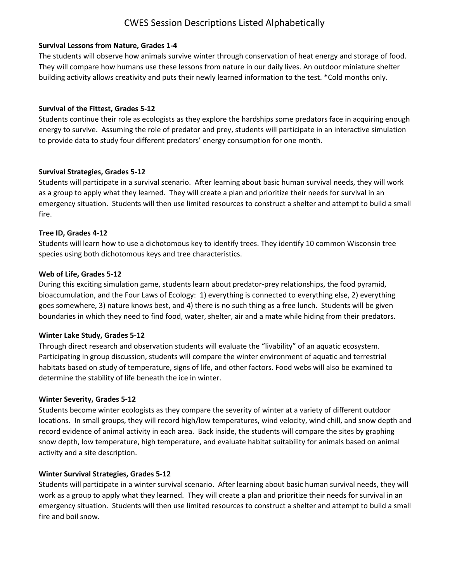## **Survival Lessons from Nature, Grades 1-4**

The students will observe how animals survive winter through conservation of heat energy and storage of food. They will compare how humans use these lessons from nature in our daily lives. An outdoor miniature shelter building activity allows creativity and puts their newly learned information to the test. \*Cold months only.

## **Survival of the Fittest, Grades 5-12**

Students continue their role as ecologists as they explore the hardships some predators face in acquiring enough energy to survive. Assuming the role of predator and prey, students will participate in an interactive simulation to provide data to study four different predators' energy consumption for one month.

## **Survival Strategies, Grades 5-12**

Students will participate in a survival scenario. After learning about basic human survival needs, they will work as a group to apply what they learned. They will create a plan and prioritize their needs for survival in an emergency situation. Students will then use limited resources to construct a shelter and attempt to build a small fire.

## **Tree ID, Grades 4-12**

Students will learn how to use a dichotomous key to identify trees. They identify 10 common Wisconsin tree species using both dichotomous keys and tree characteristics.

## **Web of Life, Grades 5-12**

During this exciting simulation game, students learn about predator-prey relationships, the food pyramid, bioaccumulation, and the Four Laws of Ecology: 1) everything is connected to everything else, 2) everything goes somewhere, 3) nature knows best, and 4) there is no such thing as a free lunch. Students will be given boundaries in which they need to find food, water, shelter, air and a mate while hiding from their predators.

# **Winter Lake Study, Grades 5-12**

Through direct research and observation students will evaluate the "livability" of an aquatic ecosystem. Participating in group discussion, students will compare the winter environment of aquatic and terrestrial habitats based on study of temperature, signs of life, and other factors. Food webs will also be examined to determine the stability of life beneath the ice in winter.

#### **Winter Severity, Grades 5-12**

Students become winter ecologists as they compare the severity of winter at a variety of different outdoor locations. In small groups, they will record high/low temperatures, wind velocity, wind chill, and snow depth and record evidence of animal activity in each area. Back inside, the students will compare the sites by graphing snow depth, low temperature, high temperature, and evaluate habitat suitability for animals based on animal activity and a site description.

# **Winter Survival Strategies, Grades 5-12**

Students will participate in a winter survival scenario. After learning about basic human survival needs, they will work as a group to apply what they learned. They will create a plan and prioritize their needs for survival in an emergency situation. Students will then use limited resources to construct a shelter and attempt to build a small fire and boil snow.